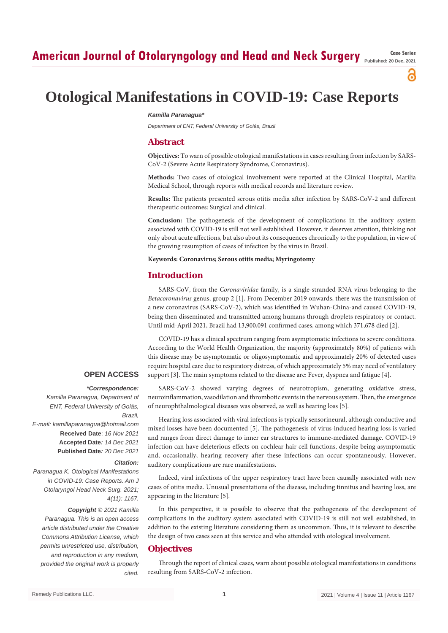## **American Journal of Otolaryngology and Head and Neck Surgery Case Series Case Series**

**Published: 20 Dec, 2021**

ခ

# **Otological Manifestations in COVID-19: Case Reports**

#### *Kamilla Paranagua\**

*Department of ENT, Federal University of Goiás, Brazil*

#### **Abstract**

**Objectives:** To warn of possible otological manifestations in cases resulting from infection by SARS-CoV-2 (Severe Acute Respiratory Syndrome, Coronavirus).

**Methods:** Two cases of otological involvement were reported at the Clinical Hospital, Marilia Medical School, through reports with medical records and literature review.

**Results:** The patients presented serous otitis media after infection by SARS-CoV-2 and different therapeutic outcomes: Surgical and clinical.

**Conclusion:** The pathogenesis of the development of complications in the auditory system associated with COVID-19 is still not well established. However, it deserves attention, thinking not only about acute affections, but also about its consequences chronically to the population, in view of the growing resumption of cases of infection by the virus in Brazil.

#### **Keywords: Coronavirus; Serous otitis media; Myringotomy**

#### **Introduction**

SARS-CoV, from the *Coronaviridae* family, is a single-stranded RNA virus belonging to the *Betacoronavirus* genus, group 2 [1]. From December 2019 onwards, there was the transmission of a new coronavirus (SARS-CoV-2), which was identified in Wuhan-China-and caused COVID-19, being then disseminated and transmitted among humans through droplets respiratory or contact. Until mid-April 2021, Brazil had 13,900,091 confirmed cases, among which 371,678 died [2].

COVID-19 has a clinical spectrum ranging from asymptomatic infections to severe conditions. According to the World Health Organization, the majority (approximately 80%) of patients with this disease may be asymptomatic or oligosymptomatic and approximately 20% of detected cases require hospital care due to respiratory distress, of which approximately 5% may need of ventilatory support [3]. The main symptoms related to the disease are: Fever, dyspnea and fatigue [4].

### *\*Correspondence:*

*Kamilla Paranagua, Department of ENT, Federal University of Goiás, Brazil, E-mail: kamillaparanagua@hotmail.com* **Received Date**: *16 Nov 2021* **Accepted Date***: 14 Dec 2021* **Published Date***: 20 Dec 2021*

#### *Citation:*

**OPEN ACCESS**

*Paranagua K. Otological Manifestations in COVID-19: Case Reports. Am J Otolaryngol Head Neck Surg. 2021; 4(11): 1167. Copyright © 2021 Kamilla Paranagua. This is an open access article distributed under the Creative Commons Attribution License, which permits unrestricted use, distribution, and reproduction in any medium, provided the original work is properly cited.*

SARS-CoV-2 showed varying degrees of neurotropism, generating oxidative stress, neuroinflammation, vasodilation and thrombotic events in the nervous system. Then, the emergence of neurophthalmological diseases was observed, as well as hearing loss [5].

Hearing loss associated with viral infections is typically sensorineural, although conductive and mixed losses have been documented [5]. The pathogenesis of virus-induced hearing loss is varied and ranges from direct damage to inner ear structures to immune-mediated damage. COVID-19 infection can have deleterious effects on cochlear hair cell functions, despite being asymptomatic and, occasionally, hearing recovery after these infections can occur spontaneously. However, auditory complications are rare manifestations.

Indeed, viral infections of the upper respiratory tract have been causally associated with new cases of otitis media. Unusual presentations of the disease, including tinnitus and hearing loss, are appearing in the literature [5].

In this perspective, it is possible to observe that the pathogenesis of the development of complications in the auditory system associated with COVID-19 is still not well established, in addition to the existing literature considering them as uncommon. Thus, it is relevant to describe the design of two cases seen at this service and who attended with otological involvement.

#### **Objectives**

Through the report of clinical cases, warn about possible otological manifestations in conditions resulting from SARS-CoV-2 infection.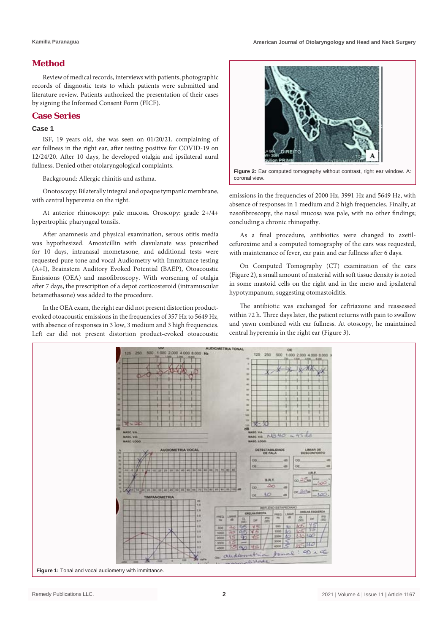#### **Method**

Review of medical records, interviews with patients, photographic records of diagnostic tests to which patients were submitted and literature review. Patients authorized the presentation of their cases by signing the Informed Consent Form (FICF).

#### **Case Series**

#### **Case 1**

ISF, 19 years old, she was seen on 01/20/21, complaining of ear fullness in the right ear, after testing positive for COVID-19 on 12/24/20. After 10 days, he developed otalgia and ipsilateral aural fullness. Denied other otolaryngological complaints.

Background: Allergic rhinitis and asthma.

Onotoscopy: Bilaterally integral and opaque tympanic membrane, with central hyperemia on the right.

At anterior rhinoscopy: pale mucosa. Oroscopy: grade 2+/4+ hypertrophic pharyngeal tonsils.

After anamnesis and physical examination, serous otitis media was hypothesized. Amoxicillin with clavulanate was prescribed for 10 days, intranasal mometasone, and additional tests were requested-pure tone and vocal Audiometry with Immittance testing (A+I), Brainstem Auditory Evoked Potential (BAEP), Otoacoustic Emissions (OEA) and nasofibroscopy. With worsening of otalgia after 7 days, the prescription of a depot corticosteroid (intramuscular betamethasone) was added to the procedure.

In the OEA exam, the right ear did not present distortion productevoked otoacoustic emissions in the frequencies of 357 Hz to 5649 Hz, with absence of responses in 3 low, 3 medium and 3 high frequencies. Left ear did not present distortion product-evoked otoacoustic



**Figure 2:** Ear computed tomography without contrast, right ear window. A: coronal view.

emissions in the frequencies of 2000 Hz, 3991 Hz and 5649 Hz, with absence of responses in 1 medium and 2 high frequencies. Finally, at nasofibroscopy, the nasal mucosa was pale, with no other findings; concluding a chronic rhinopathy.

As a final procedure, antibiotics were changed to axetilcefuroxime and a computed tomography of the ears was requested, with maintenance of fever, ear pain and ear fullness after 6 days.

On Computed Tomography (CT) examination of the ears (Figure 2), a small amount of material with soft tissue density is noted in some mastoid cells on the right and in the meso and ipsilateral hypotympanum, suggesting otomastoiditis.

The antibiotic was exchanged for ceftriaxone and reassessed within 72 h. Three days later, the patient returns with pain to swallow and yawn combined with ear fullness. At otoscopy, he maintained central hyperemia in the right ear (Figure 3).

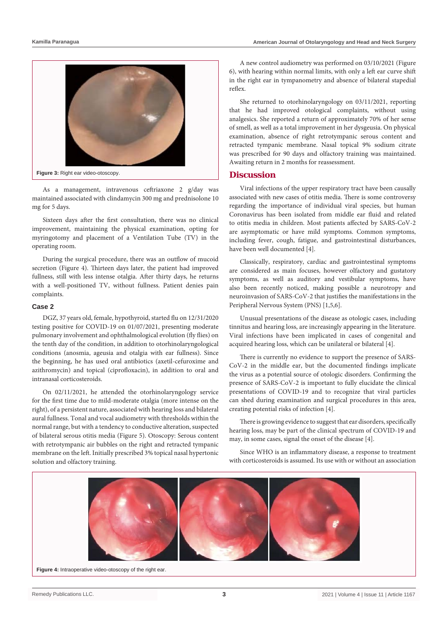

As a management, intravenous ceftriaxone 2 g/day was maintained associated with clindamycin 300 mg and prednisolone 10 mg for 5 days.

Sixteen days after the first consultation, there was no clinical improvement, maintaining the physical examination, opting for myringotomy and placement of a Ventilation Tube (TV) in the operating room.

During the surgical procedure, there was an outflow of mucoid secretion (Figure 4). Thirteen days later, the patient had improved fullness, still with less intense otalgia. After thirty days, he returns with a well-positioned TV, without fullness. Patient denies pain complaints.

#### **Case 2**

DGZ, 37 years old, female, hypothyroid, started flu on 12/31/2020 testing positive for COVID-19 on 01/07/2021, presenting moderate pulmonary involvement and ophthalmological evolution (fly flies) on the tenth day of the condition, in addition to otorhinolaryngological conditions (anosmia, ageusia and otalgia with ear fullness). Since the beginning, he has used oral antibiotics (axetil-cefuroxime and azithromycin) and topical (ciprofloxacin), in addition to oral and intranasal corticosteroids.

On 02/11/2021, he attended the otorhinolaryngology service for the first time due to mild-moderate otalgia (more intense on the right), of a persistent nature, associated with hearing loss and bilateral aural fullness. Tonal and vocal audiometry with thresholds within the normal range, but with a tendency to conductive alteration, suspected of bilateral serous otitis media (Figure 5). Otoscopy: Serous content with retrotympanic air bubbles on the right and retracted tympanic membrane on the left. Initially prescribed 3% topical nasal hypertonic solution and olfactory training.

A new control audiometry was performed on 03/10/2021 (Figure 6), with hearing within normal limits, with only a left ear curve shift in the right ear in tympanometry and absence of bilateral stapedial reflex.

She returned to otorhinolaryngology on 03/11/2021, reporting that he had improved otological complaints, without using analgesics. She reported a return of approximately 70% of her sense of smell, as well as a total improvement in her dysgeusia. On physical examination, absence of right retrotympanic serous content and retracted tympanic membrane. Nasal topical 9% sodium citrate was prescribed for 90 days and olfactory training was maintained. Awaiting return in 2 months for reassessment.

#### **Discussion**

Viral infections of the upper respiratory tract have been causally associated with new cases of otitis media. There is some controversy regarding the importance of individual viral species, but human Coronavirus has been isolated from middle ear fluid and related to otitis media in children. Most patients affected by SARS-CoV-2 are asymptomatic or have mild symptoms. Common symptoms, including fever, cough, fatigue, and gastrointestinal disturbances, have been well documented [4].

Classically, respiratory, cardiac and gastrointestinal symptoms are considered as main focuses, however olfactory and gustatory symptoms, as well as auditory and vestibular symptoms, have also been recently noticed, making possible a neurotropy and neuroinvasion of SARS-CoV-2 that justifies the manifestations in the Peripheral Nervous System (PNS) [1,5,6].

Unusual presentations of the disease as otologic cases, including tinnitus and hearing loss, are increasingly appearing in the literature. Viral infections have been implicated in cases of congenital and acquired hearing loss, which can be unilateral or bilateral [4].

There is currently no evidence to support the presence of SARS-CoV-2 in the middle ear, but the documented findings implicate the virus as a potential source of otologic disorders. Confirming the presence of SARS-CoV-2 is important to fully elucidate the clinical presentations of COVID-19 and to recognize that viral particles can shed during examination and surgical procedures in this area, creating potential risks of infection [4].

There is growing evidence to suggest that ear disorders, specifically hearing loss, may be part of the clinical spectrum of COVID-19 and may, in some cases, signal the onset of the disease [4].

Since WHO is an inflammatory disease, a response to treatment with corticosteroids is assumed. Its use with or without an association



**Figure 4:** Intraoperative video-otoscopy of the right ear.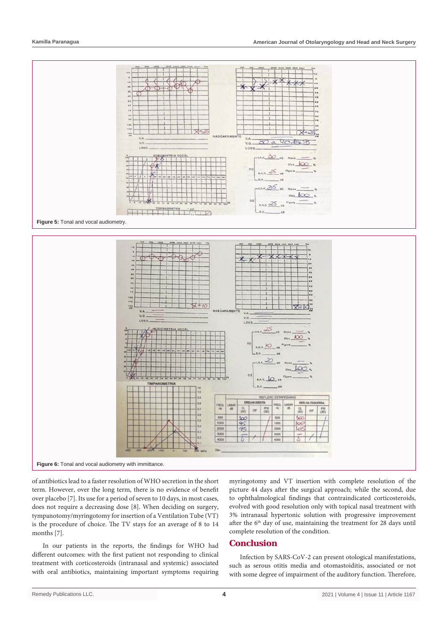



of antibiotics lead to a faster resolution of WHO secretion in the short term. However, over the long term, there is no evidence of benefit over placebo [7]. Its use for a period of seven to 10 days, in most cases, does not require a decreasing dose [8]. When deciding on surgery, tympanotomy/myringotomy for insertion of a Ventilation Tube (VT) is the procedure of choice. The TV stays for an average of 8 to 14 months [7].

In our patients in the reports, the findings for WHO had different outcomes: with the first patient not responding to clinical treatment with corticosteroids (intranasal and systemic) associated with oral antibiotics, maintaining important symptoms requiring

myringotomy and VT insertion with complete resolution of the picture 44 days after the surgical approach; while the second, due to ophthalmological findings that contraindicated corticosteroids, evolved with good resolution only with topical nasal treatment with 3% intranasal hypertonic solution with progressive improvement after the 6<sup>th</sup> day of use, maintaining the treatment for 28 days until complete resolution of the condition.

#### **Conclusion**

Infection by SARS-CoV-2 can present otological manifestations, such as serous otitis media and otomastoiditis, associated or not with some degree of impairment of the auditory function. Therefore,